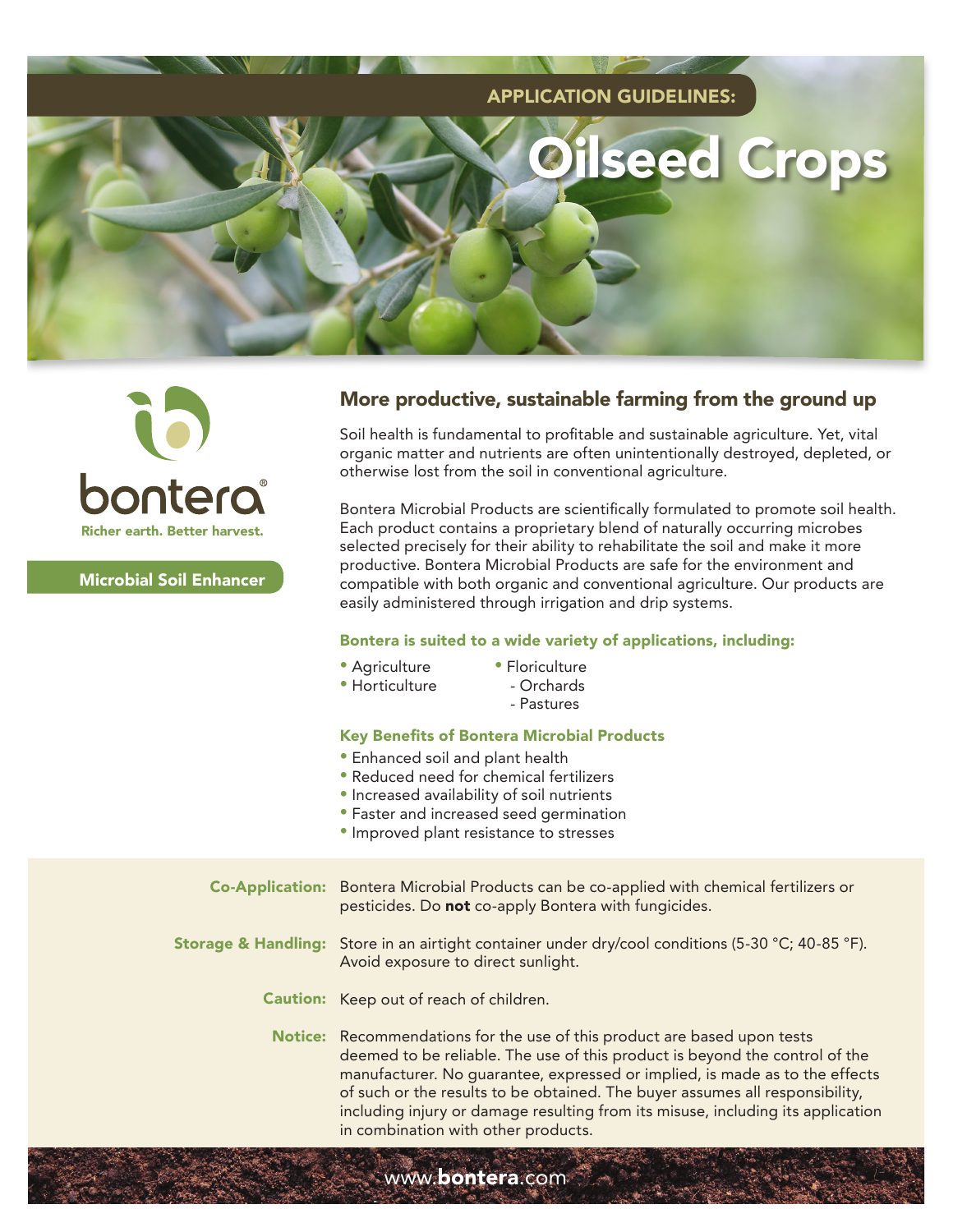



Microbial Soil Enhancer

## More productive, sustainable farming from the ground up

Soil health is fundamental to profitable and sustainable agriculture. Yet, vital organic matter and nutrients are often unintentionally destroyed, depleted, or otherwise lost from the soil in conventional agriculture.

Bontera Microbial Products are scientifically formulated to promote soil health. Each product contains a proprietary blend of naturally occurring microbes selected precisely for their ability to rehabilitate the soil and make it more productive. Bontera Microbial Products are safe for the environment and compatible with both organic and conventional agriculture. Our products are easily administered through irrigation and drip systems.

## Bontera is suited to a wide variety of applications, including:

- Agriculture
- Floriculture
- Horticulture
- Orchards
	- Pastures

## Key Benefits of Bontera Microbial Products

- Enhanced soil and plant health
- Reduced need for chemical fertilizers
- Increased availability of soil nutrients
- Faster and increased seed germination
- Improved plant resistance to stresses

www.bontera.com

Bontera Microbial Products can be co-applied with chemical fertilizers or pesticides. Do not co-apply Bontera with fungicides. **Storage & Handling:** Store in an airtight container under dry/cool conditions (5-30 °C; 40-85 °F). Avoid exposure to direct sunlight. **Caution:** Keep out of reach of children. **Notice:** Recommendations for the use of this product are based upon tests deemed to be reliable. The use of this product is beyond the control of the manufacturer. No guarantee, expressed or implied, is made as to the effects of such or the results to be obtained. The buyer assumes all responsibility, including injury or damage resulting from its misuse, including its application in combination with other products. Co-Application: